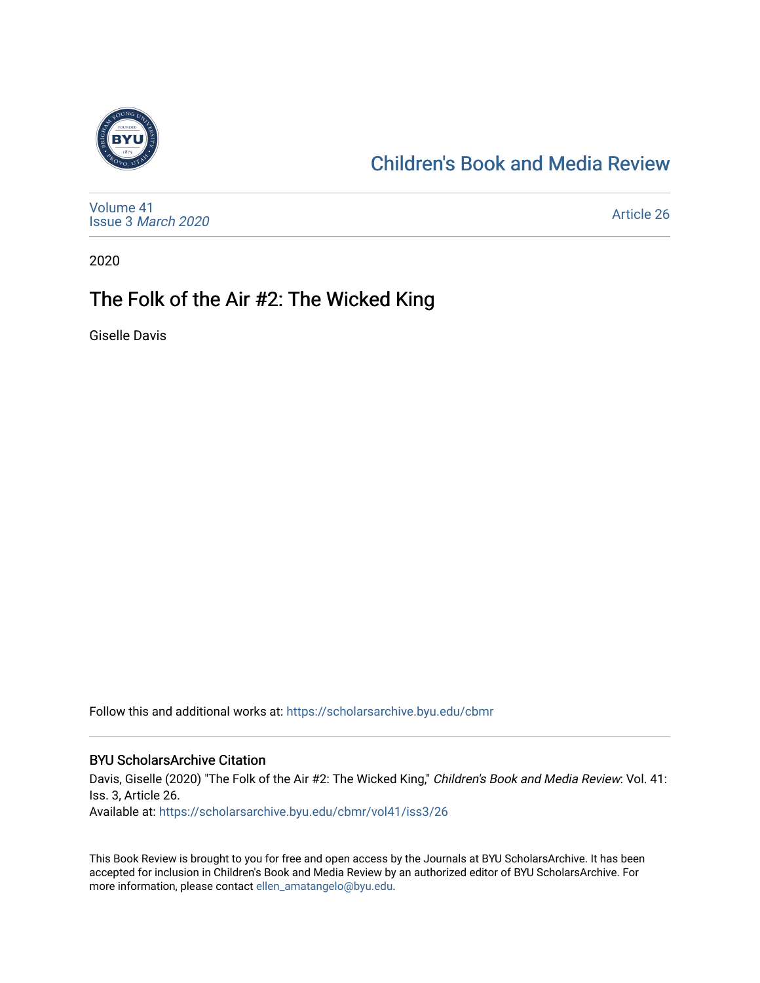

#### [Children's Book and Media Review](https://scholarsarchive.byu.edu/cbmr)

[Volume 41](https://scholarsarchive.byu.edu/cbmr/vol41) Issue 3 [March 2020](https://scholarsarchive.byu.edu/cbmr/vol41/iss3)

[Article 26](https://scholarsarchive.byu.edu/cbmr/vol41/iss3/26) 

2020

#### The Folk of the Air #2: The Wicked King

Giselle Davis

Follow this and additional works at: [https://scholarsarchive.byu.edu/cbmr](https://scholarsarchive.byu.edu/cbmr?utm_source=scholarsarchive.byu.edu%2Fcbmr%2Fvol41%2Fiss3%2F26&utm_medium=PDF&utm_campaign=PDFCoverPages) 

#### BYU ScholarsArchive Citation

Davis, Giselle (2020) "The Folk of the Air #2: The Wicked King," Children's Book and Media Review: Vol. 41: Iss. 3, Article 26. Available at: [https://scholarsarchive.byu.edu/cbmr/vol41/iss3/26](https://scholarsarchive.byu.edu/cbmr/vol41/iss3/26?utm_source=scholarsarchive.byu.edu%2Fcbmr%2Fvol41%2Fiss3%2F26&utm_medium=PDF&utm_campaign=PDFCoverPages)

This Book Review is brought to you for free and open access by the Journals at BYU ScholarsArchive. It has been accepted for inclusion in Children's Book and Media Review by an authorized editor of BYU ScholarsArchive. For more information, please contact [ellen\\_amatangelo@byu.edu.](mailto:ellen_amatangelo@byu.edu)